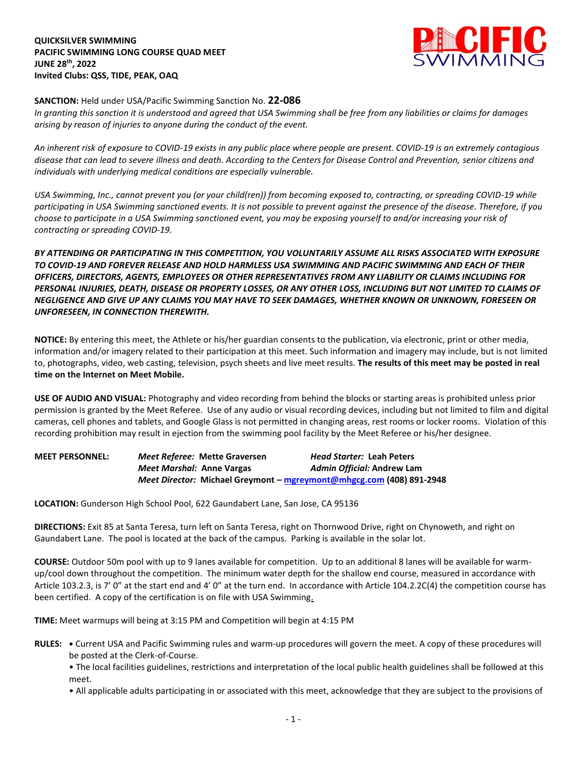**QUICKSILVER SWIMMING PACIFIC SWIMMING LONG COURSE QUAD MEET JUNE 28th, 2022 Invited Clubs: QSS, TIDE, PEAK, OAQ**



## **SANCTION:** Held under USA/Pacific Swimming Sanction No. **22-086**

*In granting this sanction it is understood and agreed that USA Swimming shall be free from any liabilities or claims for damages arising by reason of injuries to anyone during the conduct of the event.* 

*An inherent risk of exposure to COVID-19 exists in any public place where people are present. COVID-19 is an extremely contagious disease that can lead to severe illness and death. According to the Centers for Disease Control and Prevention, senior citizens and individuals with underlying medical conditions are especially vulnerable.*

*USA Swimming, Inc., cannot prevent you (or your child(ren)) from becoming exposed to, contracting, or spreading COVID-19 while participating in USA Swimming sanctioned events. It is not possible to prevent against the presence of the disease. Therefore, if you choose to participate in a USA Swimming sanctioned event, you may be exposing yourself to and/or increasing your risk of contracting or spreading COVID-19.*

*BY ATTENDING OR PARTICIPATING IN THIS COMPETITION, YOU VOLUNTARILY ASSUME ALL RISKS ASSOCIATED WITH EXPOSURE TO COVID-19 AND FOREVER RELEASE AND HOLD HARMLESS USA SWIMMING AND PACIFIC SWIMMING AND EACH OF THEIR OFFICERS, DIRECTORS, AGENTS, EMPLOYEES OR OTHER REPRESENTATIVES FROM ANY LIABILITY OR CLAIMS INCLUDING FOR PERSONAL INJURIES, DEATH, DISEASE OR PROPERTY LOSSES, OR ANY OTHER LOSS, INCLUDING BUT NOT LIMITED TO CLAIMS OF NEGLIGENCE AND GIVE UP ANY CLAIMS YOU MAY HAVE TO SEEK DAMAGES, WHETHER KNOWN OR UNKNOWN, FORESEEN OR UNFORESEEN, IN CONNECTION THEREWITH.*

**NOTICE:** By entering this meet, the Athlete or his/her guardian consents to the publication, via electronic, print or other media, information and/or imagery related to their participation at this meet. Such information and imagery may include, but is not limited to, photographs, video, web casting, television, psych sheets and live meet results. **The results of this meet may be posted in real time on the Internet on Meet Mobile.**

**USE OF AUDIO AND VISUAL:** Photography and video recording from behind the blocks or starting areas is prohibited unless prior permission is granted by the Meet Referee. Use of any audio or visual recording devices, including but not limited to film and digital cameras, cell phones and tablets, and Google Glass is not permitted in changing areas, rest rooms or locker rooms. Violation of this recording prohibition may result in ejection from the swimming pool facility by the Meet Referee or his/her designee.

| <b>MEET PERSONNEL:</b> |                           | Meet Referee: Mette Graversen | <i>Head Starter: Leah Peters</i>                                     |
|------------------------|---------------------------|-------------------------------|----------------------------------------------------------------------|
|                        | Meet Marshal: Anne Vargas |                               | Admin Official: Andrew Lam                                           |
|                        |                           |                               | Meet Director: Michael Greymont - mgreymont@mhgcg.com (408) 891-2948 |

**LOCATION:** Gunderson High School Pool, 622 Gaundabert Lane, San Jose, CA 95136

**DIRECTIONS:** Exit 85 at Santa Teresa, turn left on Santa Teresa, right on Thornwood Drive, right on Chynoweth, and right on Gaundabert Lane. The pool is located at the back of the campus. Parking is available in the solar lot.

**COURSE:** Outdoor 50m pool with up to 9 lanes available for competition. Up to an additional 8 lanes will be available for warmup/cool down throughout the competition. The minimum water depth for the shallow end course, measured in accordance with Article 103.2.3, is 7' 0" at the start end and 4' 0" at the turn end. In accordance with Article 104.2.2C(4) the competition course has been certified. A copy of the certification is on file with USA Swimming.

**TIME:** Meet warmups will being at 3:15 PM and Competition will begin at 4:15 PM

**RULES: •** Current USA and Pacific Swimming rules and warm-up procedures will govern the meet. A copy of these procedures will be posted at the Clerk-of-Course.

• The local facilities guidelines, restrictions and interpretation of the local public health guidelines shall be followed at this meet.

• All applicable adults participating in or associated with this meet, acknowledge that they are subject to the provisions of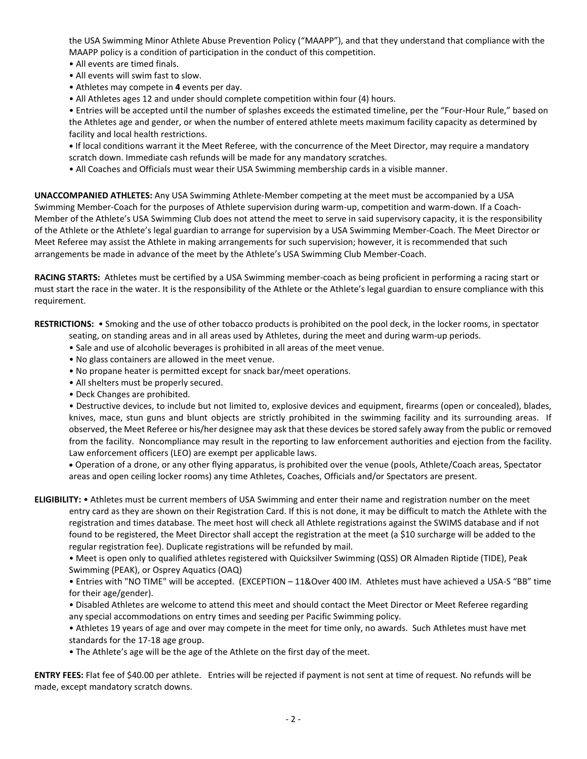the USA Swimming Minor Athlete Abuse Prevention Policy ("MAAPP"), and that they understand that compliance with the MAAPP policy is a condition of participation in the conduct of this competition.

- All events are timed finals.
- All events will swim fast to slow.
- Athletes may compete in **4** events per day.
- All Athletes ages 12 and under should complete competition within four (4) hours.

• Entries will be accepted until the number of splashes exceeds the estimated timeline, per the "Four-Hour Rule," based on the Athletes age and gender, or when the number of entered athlete meets maximum facility capacity as determined by facility and local health restrictions.

**•** If local conditions warrant it the Meet Referee, with the concurrence of the Meet Director, may require a mandatory scratch down. Immediate cash refunds will be made for any mandatory scratches.

• All Coaches and Officials must wear their USA Swimming membership cards in a visible manner.

**UNACCOMPANIED ATHLETES:** Any USA Swimming Athlete-Member competing at the meet must be accompanied by a USA Swimming Member-Coach for the purposes of Athlete supervision during warm-up, competition and warm-down. If a Coach-Member of the Athlete's USA Swimming Club does not attend the meet to serve in said supervisory capacity, it is the responsibility of the Athlete or the Athlete's legal guardian to arrange for supervision by a USA Swimming Member-Coach. The Meet Director or Meet Referee may assist the Athlete in making arrangements for such supervision; however, it is recommended that such arrangements be made in advance of the meet by the Athlete's USA Swimming Club Member-Coach.

**RACING STARTS:** Athletes must be certified by a USA Swimming member-coach as being proficient in performing a racing start or must start the race in the water. It is the responsibility of the Athlete or the Athlete's legal guardian to ensure compliance with this requirement.

**RESTRICTIONS:** • Smoking and the use of other tobacco products is prohibited on the pool deck, in the locker rooms, in spectator

seating, on standing areas and in all areas used by Athletes, during the meet and during warm-up periods.

- Sale and use of alcoholic beverages is prohibited in all areas of the meet venue.
- No glass containers are allowed in the meet venue.
- No propane heater is permitted except for snack bar/meet operations.
- All shelters must be properly secured.
- Deck Changes are prohibited.

• Destructive devices, to include but not limited to, explosive devices and equipment, firearms (open or concealed), blades, knives, mace, stun guns and blunt objects are strictly prohibited in the swimming facility and its surrounding areas. If observed, the Meet Referee or his/her designee may ask that these devices be stored safely away from the public or removed from the facility. Noncompliance may result in the reporting to law enforcement authorities and ejection from the facility. Law enforcement officers (LEO) are exempt per applicable laws.

 Operation of a drone, or any other flying apparatus, is prohibited over the venue (pools, Athlete/Coach areas, Spectator areas and open ceiling locker rooms) any time Athletes, Coaches, Officials and/or Spectators are present.

**ELIGIBILITY:** • Athletes must be current members of USA Swimming and enter their name and registration number on the meet entry card as they are shown on their Registration Card. If this is not done, it may be difficult to match the Athlete with the registration and times database. The meet host will check all Athlete registrations against the SWIMS database and if not found to be registered, the Meet Director shall accept the registration at the meet (a \$10 surcharge will be added to the regular registration fee). Duplicate registrations will be refunded by mail.

• Meet is open only to qualified athletes registered with Quicksilver Swimming (QSS) OR Almaden Riptide (TIDE), Peak Swimming (PEAK), or Osprey Aquatics (OAQ)

• Entries with "NO TIME" will be accepted. (EXCEPTION – 11&Over 400 IM. Athletes must have achieved a USA-S "BB" time for their age/gender).

• Disabled Athletes are welcome to attend this meet and should contact the Meet Director or Meet Referee regarding any special accommodations on entry times and seeding per Pacific Swimming policy.

• Athletes 19 years of age and over may compete in the meet for time only, no awards. Such Athletes must have met standards for the 17-18 age group.

• The Athlete's age will be the age of the Athlete on the first day of the meet.

**ENTRY FEES:** Flat fee of \$40.00 per athlete. Entries will be rejected if payment is not sent at time of request. No refunds will be made, except mandatory scratch downs.